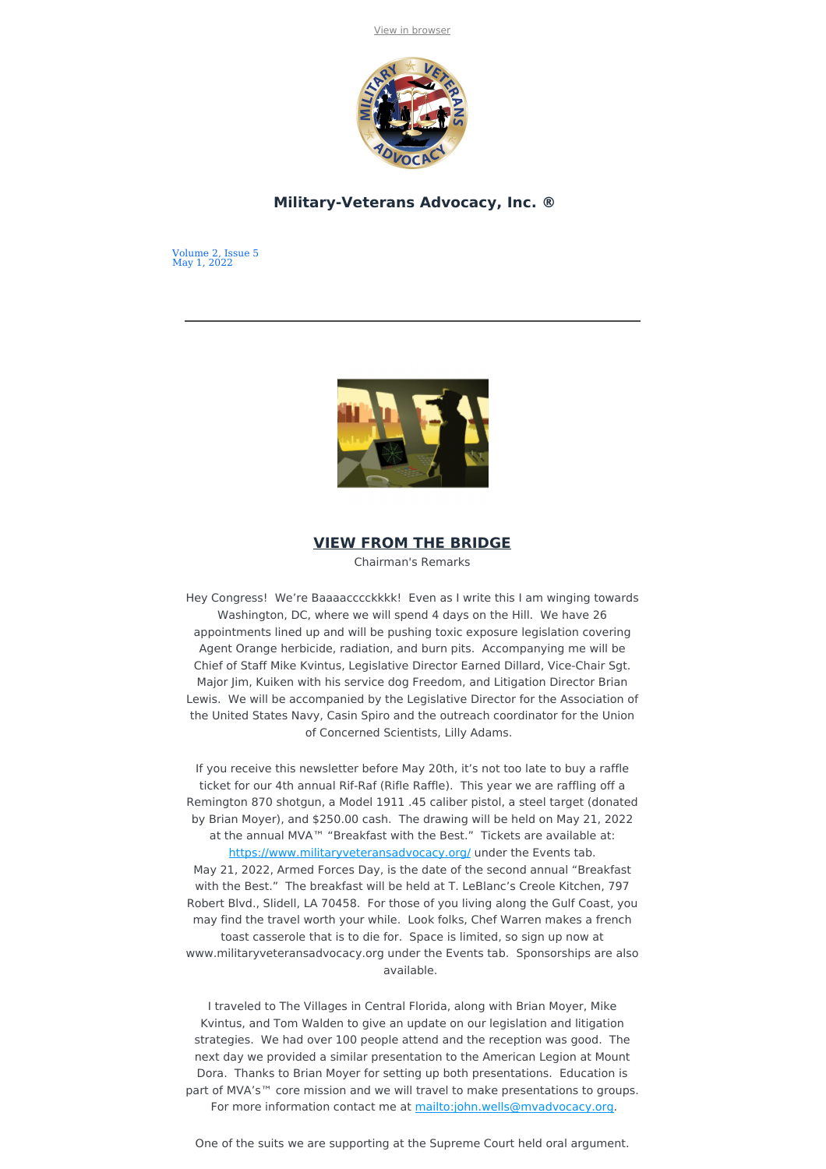

### **Military-Veterans Advocacy, Inc. ®**

Volume 2, Issue 5 May 1, 2022



## **VIEW FROM THE BRIDGE**

Chairman's Remarks

Hey Congress! We're Baaaacccckkkk! Even as I write this I am winging towards Washington, DC, where we will spend 4 days on the Hill. We have 26 appointments lined up and will be pushing toxic exposure legislation covering Agent Orange herbicide, radiation, and burn pits. Accompanying me will be Chief of Staff Mike Kvintus, Legislative Director Earned Dillard, Vice-Chair Sgt. Major Jim, Kuiken with his service dog Freedom, and Litigation Director Brian Lewis. We will be accompanied by the Legislative Director for the Association of the United States Navy, Casin Spiro and the outreach coordinator for the Union of Concerned Scientists, Lilly Adams.

If you receive this newsletter before May 20th, it's not too late to buy a raffle ticket for our 4th annual Rif-Raf (Rifle Raffle). This year we are raffling off a Remington 870 shotgun, a Model 1911 .45 caliber pistol, a steel target (donated by Brian Moyer), and \$250.00 cash. The drawing will be held on May 21, 2022 at the annual MVA™ "Breakfast with the Best." Tickets are available at: <https://www.militaryveteransadvocacy.org/> under the Events tab. May 21, 2022, Armed Forces Day, is the date of the second annual "Breakfast with the Best." The breakfast will be held at T. LeBlanc's Creole Kitchen, 797 Robert Blvd., Slidell, LA 70458. For those of you living along the Gulf Coast, you may find the travel worth your while. Look folks, Chef Warren makes a french toast casserole that is to die for. Space is limited, so sign up now at www.militaryveteransadvocacy.org under the Events tab. Sponsorships are also available.

I traveled to The Villages in Central Florida, along with Brian Moyer, Mike Kvintus, and Tom Walden to give an update on our legislation and litigation strategies. We had over 100 people attend and the reception was good. The next day we provided a similar presentation to the American Legion at Mount Dora. Thanks to Brian Moyer for setting up both presentations. Education is part of MVA's™ core mission and we will travel to make presentations to groups. For more information contact me at <mailto:john.wells@mvadvocacy.org>.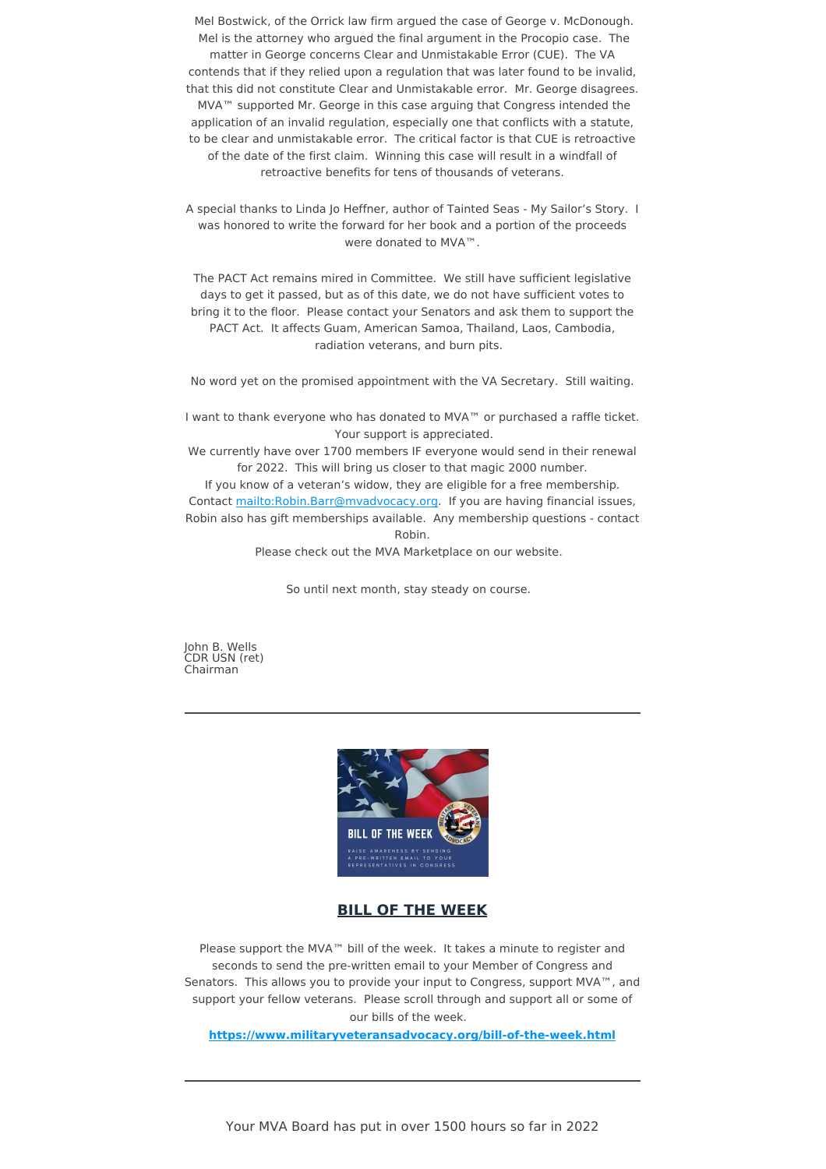Mel Bostwick, of the Orrick law firm argued the case of George v. McDonough. Mel is the attorney who argued the final argument in the Procopio case. The matter in George concerns Clear and Unmistakable Error (CUE). The VA contends that if they relied upon a regulation that was later found to be invalid, that this did not constitute Clear and Unmistakable error. Mr. George disagrees. MVA™ supported Mr. George in this case arguing that Congress intended the application of an invalid regulation, especially one that conflicts with a statute, to be clear and unmistakable error. The critical factor is that CUE is retroactive of the date of the first claim. Winning this case will result in a windfall of retroactive benefits for tens of thousands of veterans.

A special thanks to Linda Jo Heffner, author of Tainted Seas - My Sailor's Story. I was honored to write the forward for her book and a portion of the proceeds were donated to MVA™.

The PACT Act remains mired in Committee. We still have sufficient legislative days to get it passed, but as of this date, we do not have sufficient votes to bring it to the floor. Please contact your Senators and ask them to support the PACT Act. It affects Guam, American Samoa, Thailand, Laos, Cambodia, radiation veterans, and burn pits.

No word yet on the promised appointment with the VA Secretary. Still waiting.

I want to thank everyone who has donated to MVA™ or purchased a raffle ticket. Your support is appreciated.

We currently have over 1700 members IF everyone would send in their renewal for 2022. This will bring us closer to that magic 2000 number.

If you know of a veteran's widow, they are eligible for a free membership. Contact mailto: Robin. Barr@mvadvocacy.org. If you are having financial issues, Robin also has gift memberships available. Any membership questions - contact Robin.

Please check out the MVA Marketplace on our website.

So until next month, stay steady on course.

John B. Wells CDR USN (ret) Chairman



# **BILL OF THE WEEK**

Please support the MVA™ bill of the week. It takes a minute to register and seconds to send the pre-written email to your Member of Congress and Senators. This allows you to provide your input to Congress, support MVA™, and support your fellow veterans. Please scroll through and support all or some of our bills of the week.

**<https://www.militaryveteransadvocacy.org/bill-of-the-week.html>**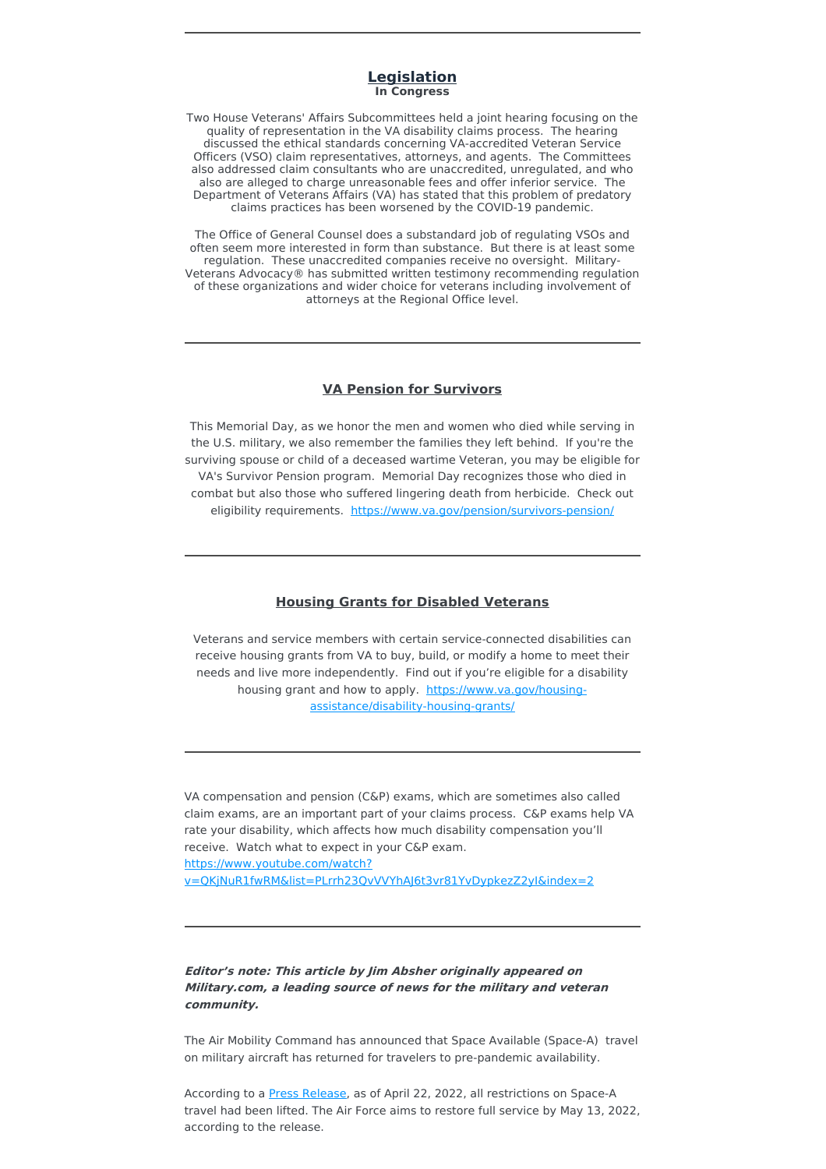### **Legislation In Congress**

Two House Veterans' Affairs Subcommittees held a joint hearing focusing on the quality of representation in the VA disability claims process. The hearing discussed the ethical standards concerning VA-accredited Veteran Service Officers (VSO) claim representatives, attorneys, and agents. The Committees also addressed claim consultants who are unaccredited, unregulated, and who also are alleged to charge unreasonable fees and offer inferior service. The Department of Veterans Affairs (VA) has stated that this problem of predatory claims practices has been worsened by the COVID-19 pandemic.

The Office of General Counsel does a substandard job of regulating VSOs and often seem more interested in form than substance. But there is at least some regulation. These unaccredited companies receive no oversight. Military-Veterans Advocacy® has submitted written testimony recommending regulation of these organizations and wider choice for veterans including involvement of attorneys at the Regional Office level.

### **VA Pension for Survivors**

This Memorial Day, as we honor the men and women who died while serving in the U.S. military, we also remember the families they left behind. If you're the surviving spouse or child of a deceased wartime Veteran, you may be eligible for VA's Survivor Pension program. Memorial Day recognizes those who died in combat but also those who suffered lingering death from herbicide. Check out eligibility requirements. <https://www.va.gov/pension/survivors-pension/>

### **Housing Grants for Disabled Veterans**

Veterans and service members with certain service-connected disabilities can receive housing grants from VA to buy, build, or modify a home to meet their needs and live more independently. Find out if you're eligible for a disability housing grant and how to apply. https://www.va.gov/housing[assistance/disability-housing-grants/](https://www.va.gov/housing-assistance/disability-housing-grants/)

VA compensation and pension (C&P) exams, which are sometimes also called claim exams, are an important part of your claims process. C&P exams help VA rate your disability, which affects how much disability compensation you'll receive. Watch what to expect in your C&P exam. https://www.youtube.com/watch? [v=QKjNuR1fwRM&list=PLrrh23QvVVYhAJ6t3vr81YvDypkezZ2yI&index=2](https://www.youtube.com/watch?v=QKjNuR1fwRM&list=PLrrh23QvVVYhAJ6t3vr81YvDypkezZ2yI&index=2)

## **Editor's note: This article by Jim Absher originally appeared on Military.com, <sup>a</sup> leading source of news for the military and veteran community.**

The Air Mobility Command has announced that Space Available (Space-A) travel on military aircraft has returned for travelers to pre-pandemic availability.

According to a **Press Release**, as of April 22, 2022, all restrictions on Space-A travel had been lifted. The Air Force aims to restore full service by May 13, 2022, according to the release.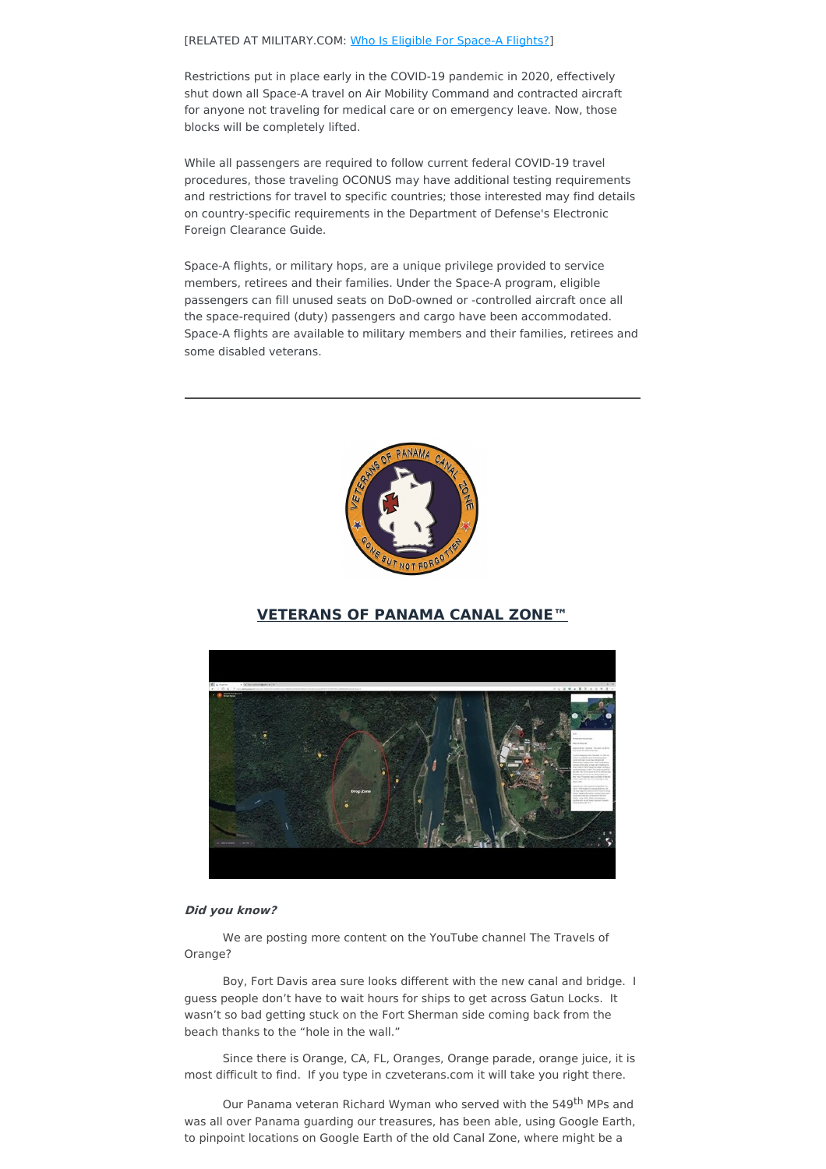#### [RELATED AT MILITARY.COM: Who Is Eligible For [Space-A](https://www.military.com/travel/space-available-flight-eligibility.html) Flights?]

Restrictions put in place early in the COVID-19 pandemic in 2020, effectively shut down all Space-A travel on Air Mobility Command and contracted aircraft for anyone not traveling for medical care or on emergency leave. Now, those blocks will be completely lifted.

While all passengers are required to follow current federal COVID-19 travel procedures, those traveling OCONUS may have additional testing requirements and restrictions for travel to specific countries; those interested may find details on country-specific requirements in the Department of Defense's Electronic Foreign Clearance Guide.

Space-A flights, or military hops, are a unique privilege provided to service members, retirees and their families. Under the Space-A program, eligible passengers can fill unused seats on DoD-owned or -controlled aircraft once all the space-required (duty) passengers and cargo have been accommodated. Space-A flights are available to military members and their families, retirees and some disabled veterans.



# **VETERANS OF PANAMA CANAL ZONE™**



#### **Did you know?**

We are posting more content on the YouTube channel The Travels of Orange?

Boy, Fort Davis area sure looks different with the new canal and bridge. I guess people don't have to wait hours for ships to get across Gatun Locks. It wasn't so bad getting stuck on the Fort Sherman side coming back from the beach thanks to the "hole in the wall."

Since there is Orange, CA, FL, Oranges, Orange parade, orange juice, it is most difficult to find. If you type in czveterans.com it will take you right there.

Our Panama veteran Richard Wyman who served with the 549<sup>th</sup> MPs and was all over Panama guarding our treasures, has been able, using Google Earth, to pinpoint locations on Google Earth of the old Canal Zone, where might be a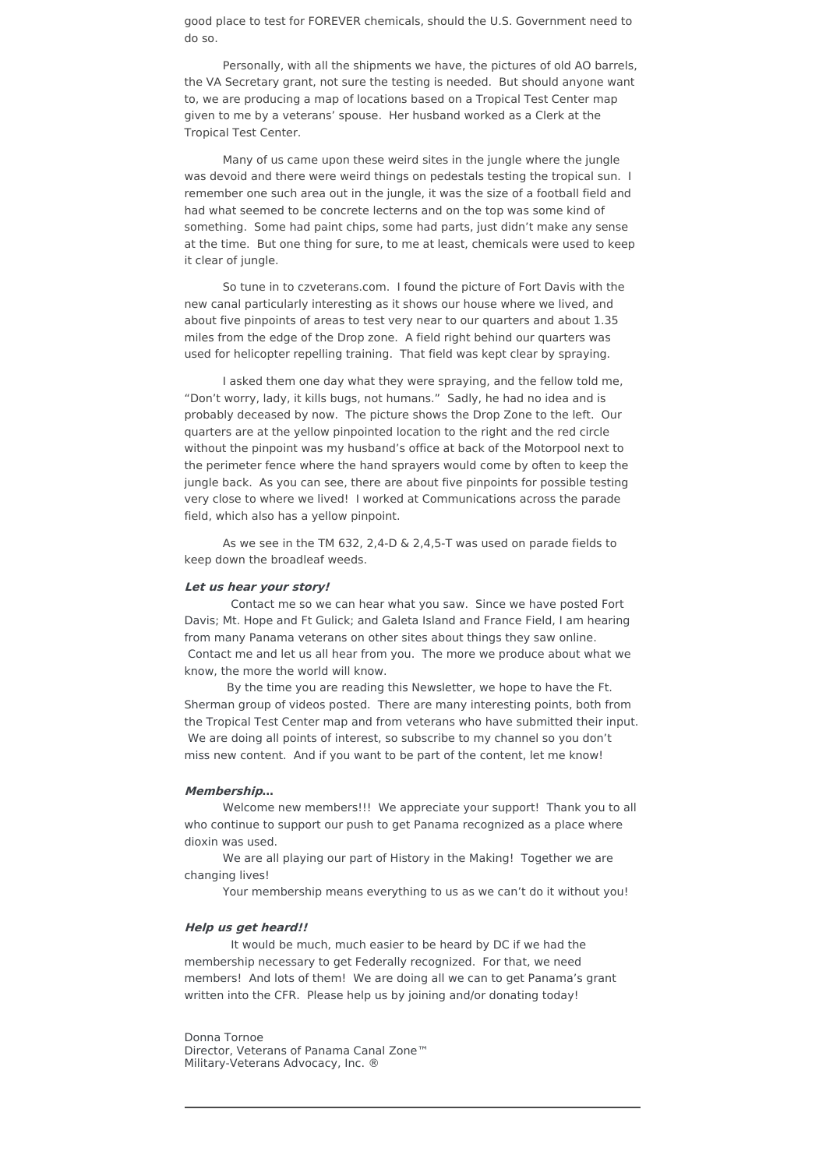good place to test for FOREVER chemicals, should the U.S. Government need to do so.

Personally, with all the shipments we have, the pictures of old AO barrels, the VA Secretary grant, not sure the testing is needed. But should anyone want to, we are producing a map of locations based on a Tropical Test Center map given to me by a veterans' spouse. Her husband worked as a Clerk at the Tropical Test Center.

Many of us came upon these weird sites in the jungle where the jungle was devoid and there were weird things on pedestals testing the tropical sun. I remember one such area out in the jungle, it was the size of a football field and had what seemed to be concrete lecterns and on the top was some kind of something. Some had paint chips, some had parts, just didn't make any sense at the time. But one thing for sure, to me at least, chemicals were used to keep it clear of jungle.

So tune in to czveterans.com. I found the picture of Fort Davis with the new canal particularly interesting as it shows our house where we lived, and about five pinpoints of areas to test very near to our quarters and about 1.35 miles from the edge of the Drop zone. A field right behind our quarters was used for helicopter repelling training. That field was kept clear by spraying.

I asked them one day what they were spraying, and the fellow told me, "Don't worry, lady, it kills bugs, not humans." Sadly, he had no idea and is probably deceased by now. The picture shows the Drop Zone to the left. Our quarters are at the yellow pinpointed location to the right and the red circle without the pinpoint was my husband's office at back of the Motorpool next to the perimeter fence where the hand sprayers would come by often to keep the jungle back. As you can see, there are about five pinpoints for possible testing very close to where we lived! I worked at Communications across the parade field, which also has a yellow pinpoint.

As we see in the TM 632, 2,4-D & 2,4,5-T was used on parade fields to keep down the broadleaf weeds.

#### **Let us hear your story!**

Contact me so we can hear what you saw. Since we have posted Fort Davis; Mt. Hope and Ft Gulick; and Galeta Island and France Field, I am hearing from many Panama veterans on other sites about things they saw online. Contact me and let us all hear from you. The more we produce about what we know, the more the world will know.

By the time you are reading this Newsletter, we hope to have the Ft. Sherman group of videos posted. There are many interesting points, both from the Tropical Test Center map and from veterans who have submitted their input. We are doing all points of interest, so subscribe to my channel so you don't miss new content. And if you want to be part of the content, let me know!

#### **Membership…**

Welcome new members!!! We appreciate your support! Thank you to all who continue to support our push to get Panama recognized as a place where dioxin was used.

We are all playing our part of History in the Making! Together we are changing lives!

Your membership means everything to us as we can't do it without you!

### **Help us get heard!!**

It would be much, much easier to be heard by DC if we had the membership necessary to get Federally recognized. For that, we need members! And lots of them! We are doing all we can to get Panama's grant written into the CFR. Please help us by joining and/or donating today!

Donna Tornoe Director, Veterans of Panama Canal Zone™ Military-Veterans Advocacy, Inc. ®